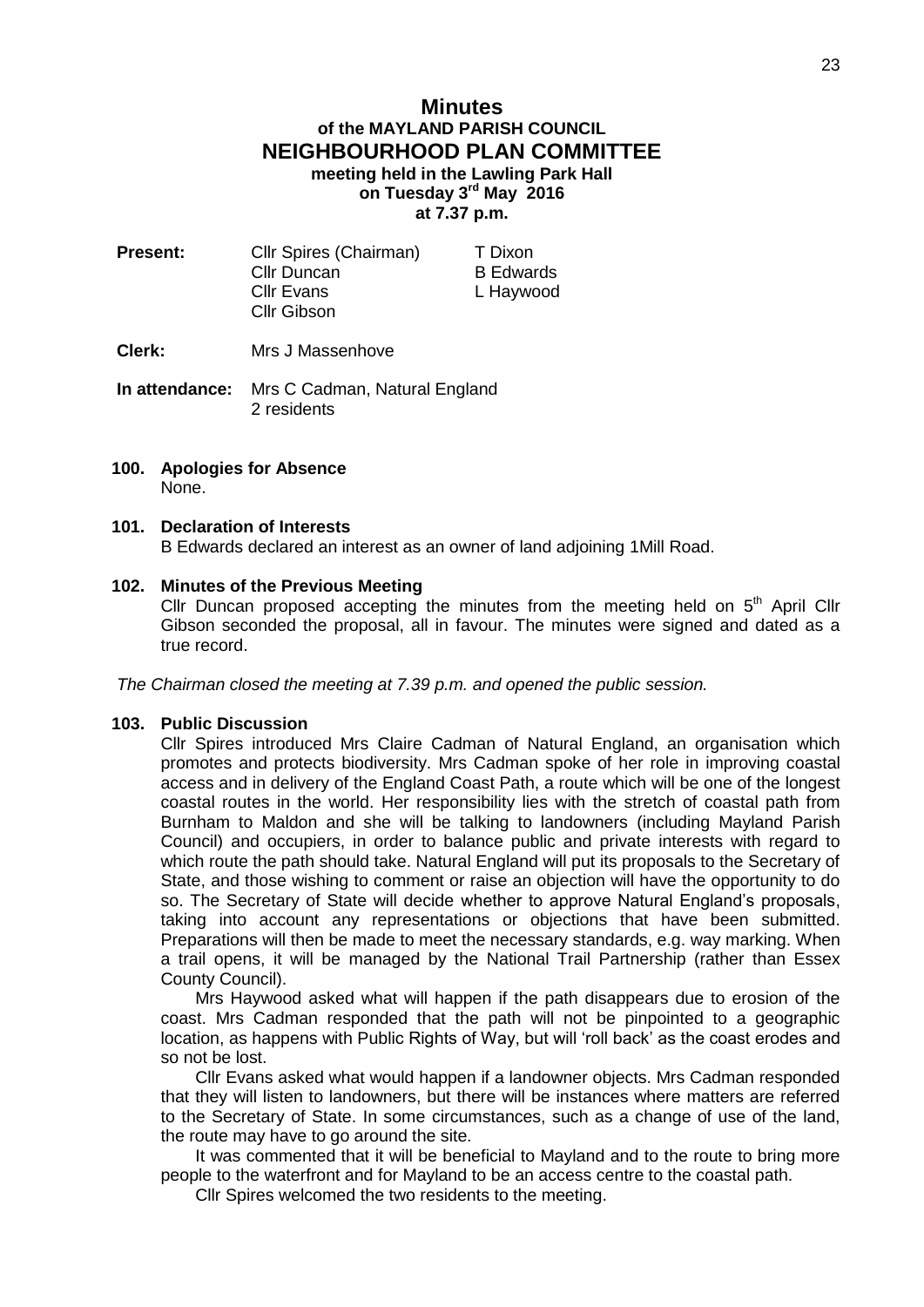## **Minutes of the MAYLAND PARISH COUNCIL NEIGHBOURHOOD PLAN COMMITTEE meeting held in the Lawling Park Hall on Tuesday 3 rd May 2016 at 7.37 p.m.**

- **Present:** Cllr Spires (Chairman) T Dixon Cllr Duncan B Edwards Cllr Evans L Haywood Cllr Gibson
- **Clerk:** Mrs J Massenhove
- **In attendance:** Mrs C Cadman, Natural England 2 residents
- **100. Apologies for Absence** None.

# **101. Declaration of Interests**

B Edwards declared an interest as an owner of land adjoining 1Mill Road.

#### **102. Minutes of the Previous Meeting**

Cllr Duncan proposed accepting the minutes from the meeting held on  $5<sup>th</sup>$  April Cllr Gibson seconded the proposal, all in favour. The minutes were signed and dated as a true record.

*The Chairman closed the meeting at 7.39 p.m. and opened the public session.*

#### **103. Public Discussion**

Cllr Spires introduced Mrs Claire Cadman of Natural England, an organisation which promotes and protects biodiversity. Mrs Cadman spoke of her role in improving coastal access and in delivery of the England Coast Path, a route which will be one of the longest coastal routes in the world. Her responsibility lies with the stretch of coastal path from Burnham to Maldon and she will be talking to landowners (including Mayland Parish Council) and occupiers, in order to balance public and private interests with regard to which route the path should take. Natural England will put its proposals to the Secretary of State, and those wishing to comment or raise an objection will have the opportunity to do so. The Secretary of State will decide whether to approve Natural England's proposals, taking into account any representations or objections that have been submitted. Preparations will then be made to meet the necessary standards, e.g. way marking. When a trail opens, it will be managed by the National Trail Partnership (rather than Essex County Council).

Mrs Haywood asked what will happen if the path disappears due to erosion of the coast. Mrs Cadman responded that the path will not be pinpointed to a geographic location, as happens with Public Rights of Way, but will 'roll back' as the coast erodes and so not be lost.

Cllr Evans asked what would happen if a landowner objects. Mrs Cadman responded that they will listen to landowners, but there will be instances where matters are referred to the Secretary of State. In some circumstances, such as a change of use of the land, the route may have to go around the site.

It was commented that it will be beneficial to Mayland and to the route to bring more people to the waterfront and for Mayland to be an access centre to the coastal path.

Cllr Spires welcomed the two residents to the meeting.